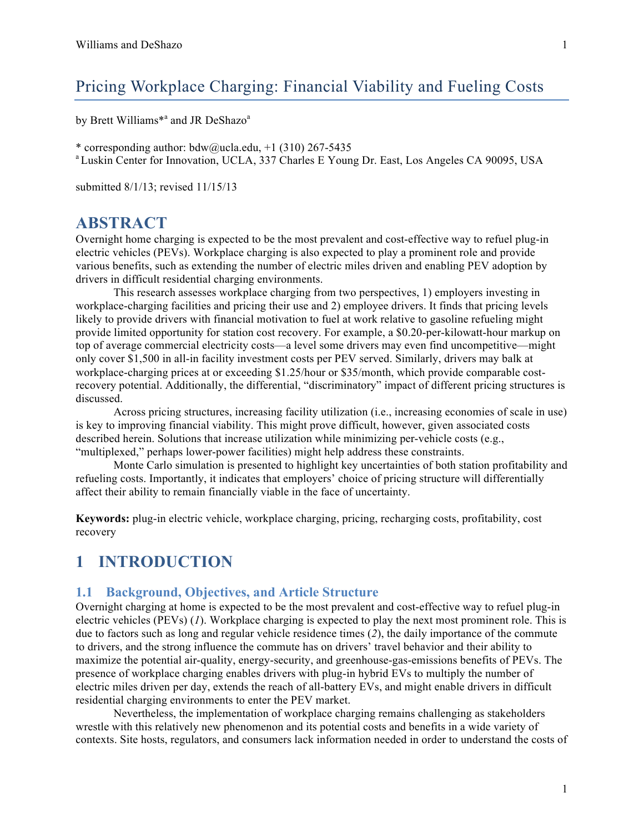# Pricing Workplace Charging: Financial Viability and Fueling Costs

by Brett Williams<sup>\*a</sup> and JR DeShazo<sup>a</sup>

\* corresponding author:  $bdw@ucla.edu$ ,  $+1$  (310) 267-5435

Luskin Center for Innovation, UCLA, 337 Charles E Young Dr. East, Los Angeles CA 90095, USA

submitted 8/1/13; revised 11/15/13

# **ABSTRACT**

Overnight home charging is expected to be the most prevalent and cost-effective way to refuel plug-in electric vehicles (PEVs). Workplace charging is also expected to play a prominent role and provide various benefits, such as extending the number of electric miles driven and enabling PEV adoption by drivers in difficult residential charging environments.

This research assesses workplace charging from two perspectives, 1) employers investing in workplace-charging facilities and pricing their use and 2) employee drivers. It finds that pricing levels likely to provide drivers with financial motivation to fuel at work relative to gasoline refueling might provide limited opportunity for station cost recovery. For example, a \$0.20-per-kilowatt-hour markup on top of average commercial electricity costs—a level some drivers may even find uncompetitive—might only cover \$1,500 in all-in facility investment costs per PEV served. Similarly, drivers may balk at workplace-charging prices at or exceeding \$1.25/hour or \$35/month, which provide comparable costrecovery potential. Additionally, the differential, "discriminatory" impact of different pricing structures is discussed.

Across pricing structures, increasing facility utilization (i.e., increasing economies of scale in use) is key to improving financial viability. This might prove difficult, however, given associated costs described herein. Solutions that increase utilization while minimizing per-vehicle costs (e.g., "multiplexed," perhaps lower-power facilities) might help address these constraints.

Monte Carlo simulation is presented to highlight key uncertainties of both station profitability and refueling costs. Importantly, it indicates that employers' choice of pricing structure will differentially affect their ability to remain financially viable in the face of uncertainty.

**Keywords:** plug-in electric vehicle, workplace charging, pricing, recharging costs, profitability, cost recovery

# **1 INTRODUCTION**

## **1.1 Background, Objectives, and Article Structure**

Overnight charging at home is expected to be the most prevalent and cost-effective way to refuel plug-in electric vehicles (PEVs) (*1*). Workplace charging is expected to play the next most prominent role. This is due to factors such as long and regular vehicle residence times (*2*), the daily importance of the commute to drivers, and the strong influence the commute has on drivers' travel behavior and their ability to maximize the potential air-quality, energy-security, and greenhouse-gas-emissions benefits of PEVs. The presence of workplace charging enables drivers with plug-in hybrid EVs to multiply the number of electric miles driven per day, extends the reach of all-battery EVs, and might enable drivers in difficult residential charging environments to enter the PEV market.

Nevertheless, the implementation of workplace charging remains challenging as stakeholders wrestle with this relatively new phenomenon and its potential costs and benefits in a wide variety of contexts. Site hosts, regulators, and consumers lack information needed in order to understand the costs of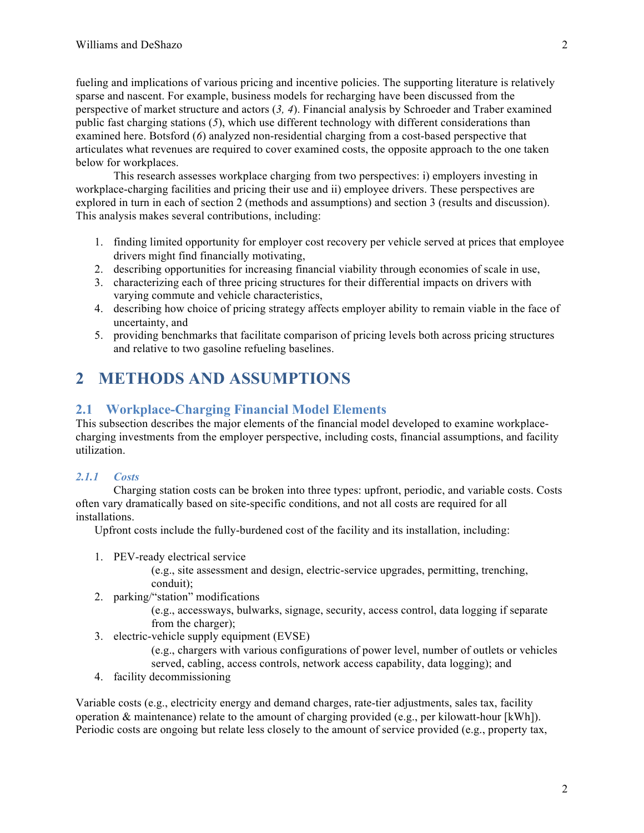fueling and implications of various pricing and incentive policies. The supporting literature is relatively sparse and nascent. For example, business models for recharging have been discussed from the perspective of market structure and actors (*3, 4*). Financial analysis by Schroeder and Traber examined public fast charging stations (*5*), which use different technology with different considerations than examined here. Botsford (*6*) analyzed non-residential charging from a cost-based perspective that articulates what revenues are required to cover examined costs, the opposite approach to the one taken below for workplaces.

This research assesses workplace charging from two perspectives: i) employers investing in workplace-charging facilities and pricing their use and ii) employee drivers. These perspectives are explored in turn in each of section 2 (methods and assumptions) and section 3 (results and discussion). This analysis makes several contributions, including:

- 1. finding limited opportunity for employer cost recovery per vehicle served at prices that employee drivers might find financially motivating,
- 2. describing opportunities for increasing financial viability through economies of scale in use,
- 3. characterizing each of three pricing structures for their differential impacts on drivers with varying commute and vehicle characteristics,
- 4. describing how choice of pricing strategy affects employer ability to remain viable in the face of uncertainty, and
- 5. providing benchmarks that facilitate comparison of pricing levels both across pricing structures and relative to two gasoline refueling baselines.

# **2 METHODS AND ASSUMPTIONS**

## **2.1 Workplace-Charging Financial Model Elements**

This subsection describes the major elements of the financial model developed to examine workplacecharging investments from the employer perspective, including costs, financial assumptions, and facility utilization.

#### *2.1.1 Costs*

Charging station costs can be broken into three types: upfront, periodic, and variable costs. Costs often vary dramatically based on site-specific conditions, and not all costs are required for all installations.

Upfront costs include the fully-burdened cost of the facility and its installation, including:

1. PEV-ready electrical service

(e.g., site assessment and design, electric-service upgrades, permitting, trenching, conduit);

2. parking/"station" modifications

(e.g., accessways, bulwarks, signage, security, access control, data logging if separate from the charger);

3. electric-vehicle supply equipment (EVSE)

(e.g., chargers with various configurations of power level, number of outlets or vehicles served, cabling, access controls, network access capability, data logging); and

4. facility decommissioning

Variable costs (e.g., electricity energy and demand charges, rate-tier adjustments, sales tax, facility operation  $\&$  maintenance) relate to the amount of charging provided (e.g., per kilowatt-hour [kWh]). Periodic costs are ongoing but relate less closely to the amount of service provided (e.g., property tax,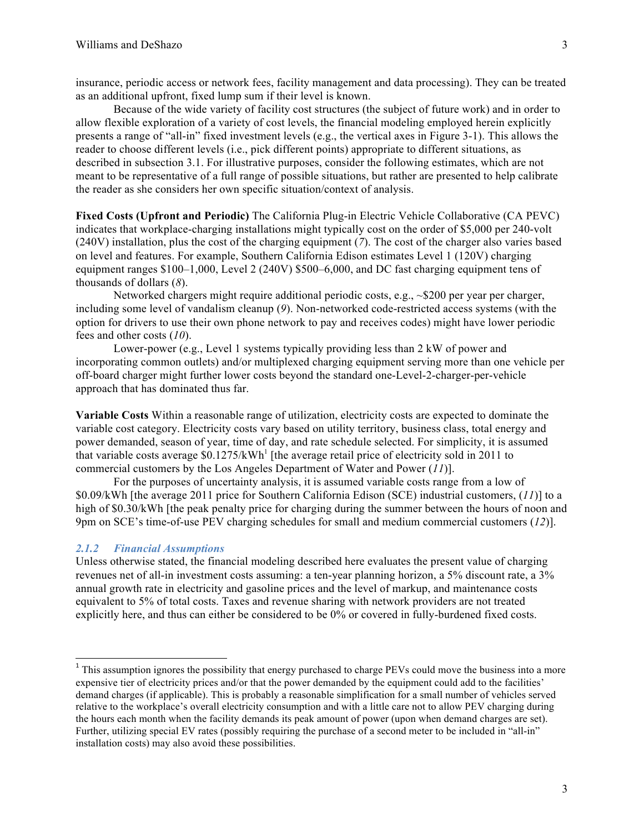insurance, periodic access or network fees, facility management and data processing). They can be treated as an additional upfront, fixed lump sum if their level is known.

Because of the wide variety of facility cost structures (the subject of future work) and in order to allow flexible exploration of a variety of cost levels, the financial modeling employed herein explicitly presents a range of "all-in" fixed investment levels (e.g., the vertical axes in Figure 3-1). This allows the reader to choose different levels (i.e., pick different points) appropriate to different situations, as described in subsection 3.1. For illustrative purposes, consider the following estimates, which are not meant to be representative of a full range of possible situations, but rather are presented to help calibrate the reader as she considers her own specific situation/context of analysis.

**Fixed Costs (Upfront and Periodic)** The California Plug-in Electric Vehicle Collaborative (CA PEVC) indicates that workplace-charging installations might typically cost on the order of \$5,000 per 240-volt (240V) installation, plus the cost of the charging equipment (*7*). The cost of the charger also varies based on level and features. For example, Southern California Edison estimates Level 1 (120V) charging equipment ranges \$100–1,000, Level 2 (240V) \$500–6,000, and DC fast charging equipment tens of thousands of dollars (*8*).

Networked chargers might require additional periodic costs, e.g., ~\$200 per year per charger, including some level of vandalism cleanup (*9*). Non-networked code-restricted access systems (with the option for drivers to use their own phone network to pay and receives codes) might have lower periodic fees and other costs (*10*).

Lower-power (e.g., Level 1 systems typically providing less than 2 kW of power and incorporating common outlets) and/or multiplexed charging equipment serving more than one vehicle per off-board charger might further lower costs beyond the standard one-Level-2-charger-per-vehicle approach that has dominated thus far.

**Variable Costs** Within a reasonable range of utilization, electricity costs are expected to dominate the variable cost category. Electricity costs vary based on utility territory, business class, total energy and power demanded, season of year, time of day, and rate schedule selected. For simplicity, it is assumed that variable costs average  $$0.1275/kWh<sup>1</sup>$  [the average retail price of electricity sold in 2011 to commercial customers by the Los Angeles Department of Water and Power (*11*)].

For the purposes of uncertainty analysis, it is assumed variable costs range from a low of \$0.09/kWh [the average 2011 price for Southern California Edison (SCE) industrial customers, (*11*)] to a high of \$0.30/kWh [the peak penalty price for charging during the summer between the hours of noon and 9pm on SCE's time-of-use PEV charging schedules for small and medium commercial customers (*12*)].

#### *2.1.2 Financial Assumptions*

Unless otherwise stated, the financial modeling described here evaluates the present value of charging revenues net of all-in investment costs assuming: a ten-year planning horizon, a 5% discount rate, a 3% annual growth rate in electricity and gasoline prices and the level of markup, and maintenance costs equivalent to 5% of total costs. Taxes and revenue sharing with network providers are not treated explicitly here, and thus can either be considered to be 0% or covered in fully-burdened fixed costs.

<sup>&</sup>lt;sup>1</sup> This assumption ignores the possibility that energy purchased to charge PEVs could move the business into a more expensive tier of electricity prices and/or that the power demanded by the equipment could add to the facilities' demand charges (if applicable). This is probably a reasonable simplification for a small number of vehicles served relative to the workplace's overall electricity consumption and with a little care not to allow PEV charging during the hours each month when the facility demands its peak amount of power (upon when demand charges are set). Further, utilizing special EV rates (possibly requiring the purchase of a second meter to be included in "all-in" installation costs) may also avoid these possibilities.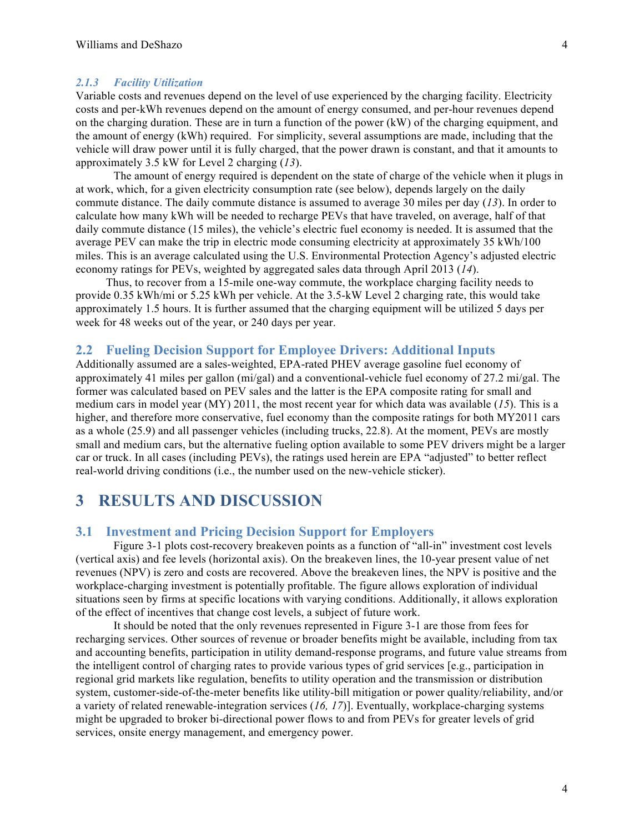#### *2.1.3 Facility Utilization*

Variable costs and revenues depend on the level of use experienced by the charging facility. Electricity costs and per-kWh revenues depend on the amount of energy consumed, and per-hour revenues depend on the charging duration. These are in turn a function of the power  $(kW)$  of the charging equipment, and the amount of energy (kWh) required. For simplicity, several assumptions are made, including that the vehicle will draw power until it is fully charged, that the power drawn is constant, and that it amounts to approximately 3.5 kW for Level 2 charging (*13*).

The amount of energy required is dependent on the state of charge of the vehicle when it plugs in at work, which, for a given electricity consumption rate (see below), depends largely on the daily commute distance. The daily commute distance is assumed to average 30 miles per day (*13*). In order to calculate how many kWh will be needed to recharge PEVs that have traveled, on average, half of that daily commute distance (15 miles), the vehicle's electric fuel economy is needed. It is assumed that the average PEV can make the trip in electric mode consuming electricity at approximately 35 kWh/100 miles. This is an average calculated using the U.S. Environmental Protection Agency's adjusted electric economy ratings for PEVs, weighted by aggregated sales data through April 2013 (*14*).

Thus, to recover from a 15-mile one-way commute, the workplace charging facility needs to provide 0.35 kWh/mi or 5.25 kWh per vehicle. At the 3.5-kW Level 2 charging rate, this would take approximately 1.5 hours. It is further assumed that the charging equipment will be utilized 5 days per week for 48 weeks out of the year, or 240 days per year.

#### **2.2 Fueling Decision Support for Employee Drivers: Additional Inputs**

Additionally assumed are a sales-weighted, EPA-rated PHEV average gasoline fuel economy of approximately 41 miles per gallon (mi/gal) and a conventional-vehicle fuel economy of 27.2 mi/gal. The former was calculated based on PEV sales and the latter is the EPA composite rating for small and medium cars in model year (MY) 2011, the most recent year for which data was available (*15*). This is a higher, and therefore more conservative, fuel economy than the composite ratings for both MY2011 cars as a whole (25.9) and all passenger vehicles (including trucks, 22.8). At the moment, PEVs are mostly small and medium cars, but the alternative fueling option available to some PEV drivers might be a larger car or truck. In all cases (including PEVs), the ratings used herein are EPA "adjusted" to better reflect real-world driving conditions (i.e., the number used on the new-vehicle sticker).

# **3 RESULTS AND DISCUSSION**

#### **3.1 Investment and Pricing Decision Support for Employers**

Figure 3-1 plots cost-recovery breakeven points as a function of "all-in" investment cost levels (vertical axis) and fee levels (horizontal axis). On the breakeven lines, the 10-year present value of net revenues (NPV) is zero and costs are recovered. Above the breakeven lines, the NPV is positive and the workplace-charging investment is potentially profitable. The figure allows exploration of individual situations seen by firms at specific locations with varying conditions. Additionally, it allows exploration of the effect of incentives that change cost levels, a subject of future work.

It should be noted that the only revenues represented in Figure 3-1 are those from fees for recharging services. Other sources of revenue or broader benefits might be available, including from tax and accounting benefits, participation in utility demand-response programs, and future value streams from the intelligent control of charging rates to provide various types of grid services [e.g., participation in regional grid markets like regulation, benefits to utility operation and the transmission or distribution system, customer-side-of-the-meter benefits like utility-bill mitigation or power quality/reliability, and/or a variety of related renewable-integration services (*16, 17*)]. Eventually, workplace-charging systems might be upgraded to broker bi-directional power flows to and from PEVs for greater levels of grid services, onsite energy management, and emergency power.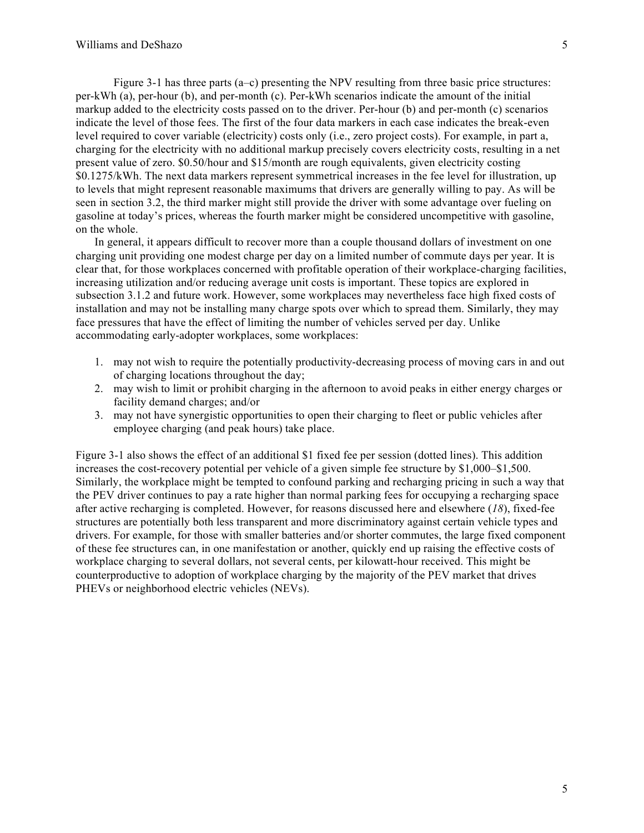Figure 3-1 has three parts (a–c) presenting the NPV resulting from three basic price structures: per-kWh (a), per-hour (b), and per-month (c). Per-kWh scenarios indicate the amount of the initial markup added to the electricity costs passed on to the driver. Per-hour (b) and per-month (c) scenarios indicate the level of those fees. The first of the four data markers in each case indicates the break-even level required to cover variable (electricity) costs only (i.e., zero project costs). For example, in part a, charging for the electricity with no additional markup precisely covers electricity costs, resulting in a net present value of zero. \$0.50/hour and \$15/month are rough equivalents, given electricity costing \$0.1275/kWh. The next data markers represent symmetrical increases in the fee level for illustration, up to levels that might represent reasonable maximums that drivers are generally willing to pay. As will be seen in section 3.2, the third marker might still provide the driver with some advantage over fueling on gasoline at today's prices, whereas the fourth marker might be considered uncompetitive with gasoline, on the whole.

In general, it appears difficult to recover more than a couple thousand dollars of investment on one charging unit providing one modest charge per day on a limited number of commute days per year. It is clear that, for those workplaces concerned with profitable operation of their workplace-charging facilities, increasing utilization and/or reducing average unit costs is important. These topics are explored in subsection 3.1.2 and future work. However, some workplaces may nevertheless face high fixed costs of installation and may not be installing many charge spots over which to spread them. Similarly, they may face pressures that have the effect of limiting the number of vehicles served per day. Unlike accommodating early-adopter workplaces, some workplaces:

- 1. may not wish to require the potentially productivity-decreasing process of moving cars in and out of charging locations throughout the day;
- 2. may wish to limit or prohibit charging in the afternoon to avoid peaks in either energy charges or facility demand charges; and/or
- 3. may not have synergistic opportunities to open their charging to fleet or public vehicles after employee charging (and peak hours) take place.

Figure 3-1 also shows the effect of an additional \$1 fixed fee per session (dotted lines). This addition increases the cost-recovery potential per vehicle of a given simple fee structure by \$1,000–\$1,500. Similarly, the workplace might be tempted to confound parking and recharging pricing in such a way that the PEV driver continues to pay a rate higher than normal parking fees for occupying a recharging space after active recharging is completed. However, for reasons discussed here and elsewhere (*18*), fixed-fee structures are potentially both less transparent and more discriminatory against certain vehicle types and drivers. For example, for those with smaller batteries and/or shorter commutes, the large fixed component of these fee structures can, in one manifestation or another, quickly end up raising the effective costs of workplace charging to several dollars, not several cents, per kilowatt-hour received. This might be counterproductive to adoption of workplace charging by the majority of the PEV market that drives PHEVs or neighborhood electric vehicles (NEVs).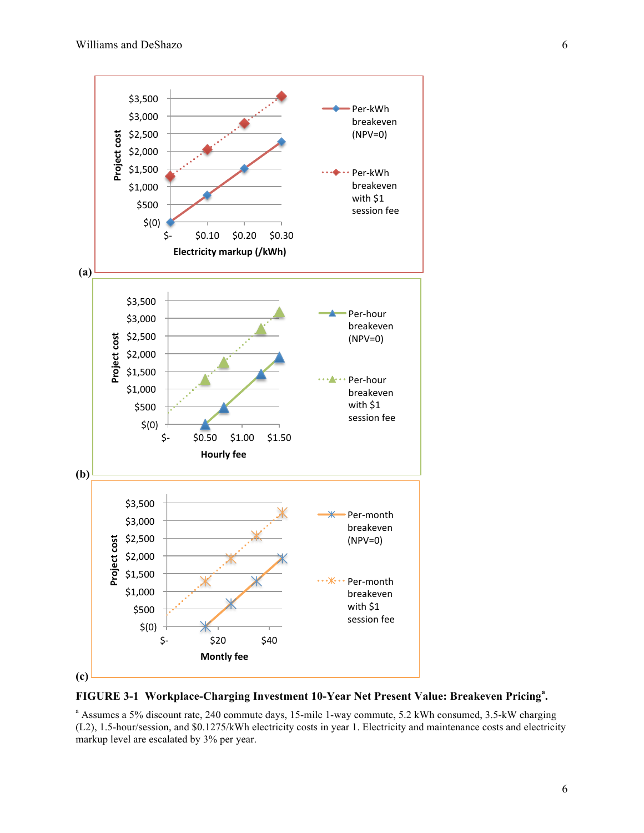



<sup>a</sup> Assumes a 5% discount rate, 240 commute days, 15-mile 1-way commute, 5.2 kWh consumed, 3.5-kW charging (L2), 1.5-hour/session, and \$0.1275/kWh electricity costs in year 1. Electricity and maintenance costs and electricity markup level are escalated by 3% per year.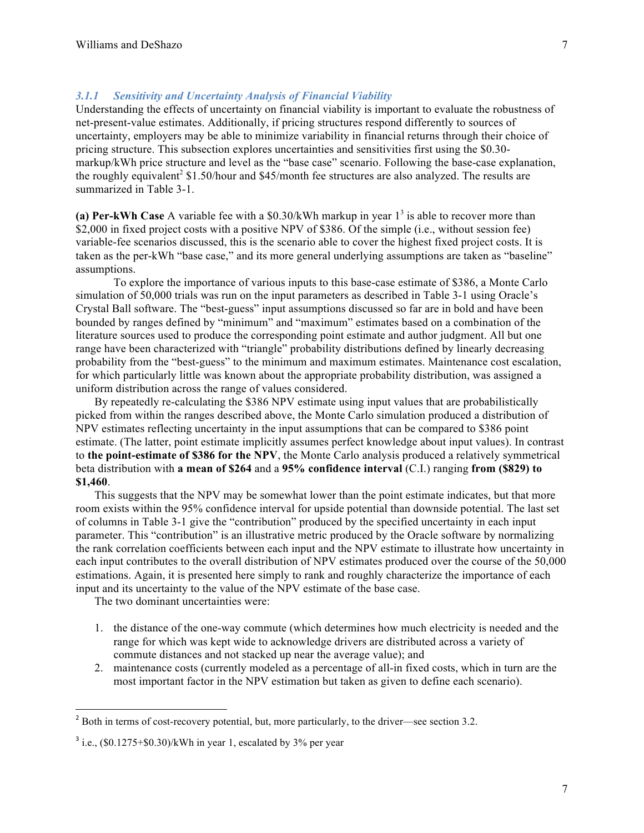#### *3.1.1 Sensitivity and Uncertainty Analysis of Financial Viability*

Understanding the effects of uncertainty on financial viability is important to evaluate the robustness of net-present-value estimates. Additionally, if pricing structures respond differently to sources of uncertainty, employers may be able to minimize variability in financial returns through their choice of pricing structure. This subsection explores uncertainties and sensitivities first using the \$0.30 markup/kWh price structure and level as the "base case" scenario. Following the base-case explanation, the roughly equivalent<sup>2</sup> \$1.50/hour and \$45/month fee structures are also analyzed. The results are summarized in Table 3-1.

**(a) Per-kWh Case** A variable fee with a \$0.30/kWh markup in year 1<sup>3</sup> is able to recover more than \$2,000 in fixed project costs with a positive NPV of \$386. Of the simple (i.e., without session fee) variable-fee scenarios discussed, this is the scenario able to cover the highest fixed project costs. It is taken as the per-kWh "base case," and its more general underlying assumptions are taken as "baseline" assumptions.

To explore the importance of various inputs to this base-case estimate of \$386, a Monte Carlo simulation of 50,000 trials was run on the input parameters as described in Table 3-1 using Oracle's Crystal Ball software. The "best-guess" input assumptions discussed so far are in bold and have been bounded by ranges defined by "minimum" and "maximum" estimates based on a combination of the literature sources used to produce the corresponding point estimate and author judgment. All but one range have been characterized with "triangle" probability distributions defined by linearly decreasing probability from the "best-guess" to the minimum and maximum estimates. Maintenance cost escalation, for which particularly little was known about the appropriate probability distribution, was assigned a uniform distribution across the range of values considered.

By repeatedly re-calculating the \$386 NPV estimate using input values that are probabilistically picked from within the ranges described above, the Monte Carlo simulation produced a distribution of NPV estimates reflecting uncertainty in the input assumptions that can be compared to \$386 point estimate. (The latter, point estimate implicitly assumes perfect knowledge about input values). In contrast to **the point-estimate of \$386 for the NPV**, the Monte Carlo analysis produced a relatively symmetrical beta distribution with **a mean of \$264** and a **95% confidence interval** (C.I.) ranging **from (\$829) to \$1,460**.

This suggests that the NPV may be somewhat lower than the point estimate indicates, but that more room exists within the 95% confidence interval for upside potential than downside potential. The last set of columns in Table 3-1 give the "contribution" produced by the specified uncertainty in each input parameter. This "contribution" is an illustrative metric produced by the Oracle software by normalizing the rank correlation coefficients between each input and the NPV estimate to illustrate how uncertainty in each input contributes to the overall distribution of NPV estimates produced over the course of the 50,000 estimations. Again, it is presented here simply to rank and roughly characterize the importance of each input and its uncertainty to the value of the NPV estimate of the base case.

The two dominant uncertainties were:

l

- 1. the distance of the one-way commute (which determines how much electricity is needed and the range for which was kept wide to acknowledge drivers are distributed across a variety of commute distances and not stacked up near the average value); and
- 2. maintenance costs (currently modeled as a percentage of all-in fixed costs, which in turn are the most important factor in the NPV estimation but taken as given to define each scenario).

 $^2$  Both in terms of cost-recovery potential, but, more particularly, to the driver—see section 3.2.

 $3$  i.e.,  $(\text{\$0.1275+\$0.30)}$ /kWh in year 1, escalated by 3% per year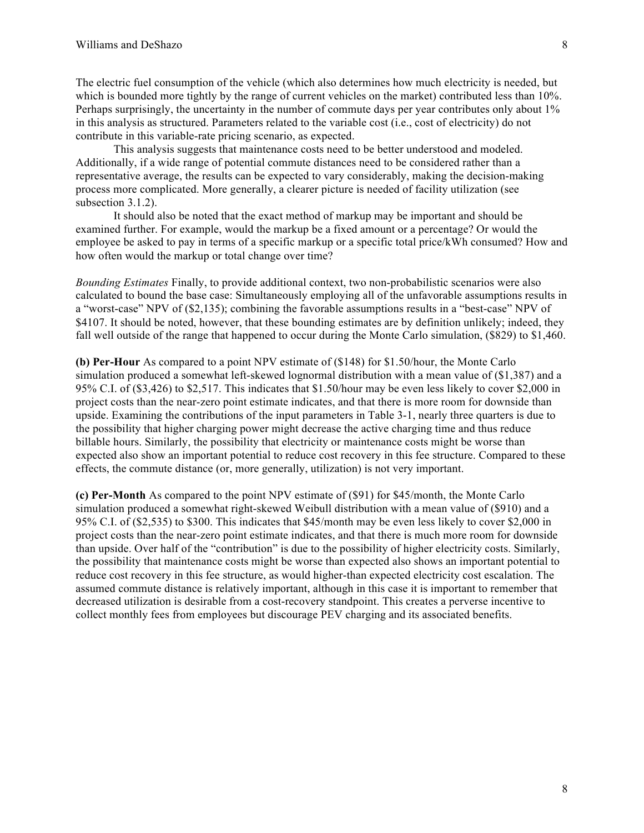The electric fuel consumption of the vehicle (which also determines how much electricity is needed, but which is bounded more tightly by the range of current vehicles on the market) contributed less than 10%. Perhaps surprisingly, the uncertainty in the number of commute days per year contributes only about 1% in this analysis as structured. Parameters related to the variable cost (i.e., cost of electricity) do not contribute in this variable-rate pricing scenario, as expected.

This analysis suggests that maintenance costs need to be better understood and modeled. Additionally, if a wide range of potential commute distances need to be considered rather than a representative average, the results can be expected to vary considerably, making the decision-making process more complicated. More generally, a clearer picture is needed of facility utilization (see subsection 3.1.2).

It should also be noted that the exact method of markup may be important and should be examined further. For example, would the markup be a fixed amount or a percentage? Or would the employee be asked to pay in terms of a specific markup or a specific total price/kWh consumed? How and how often would the markup or total change over time?

*Bounding Estimates* Finally, to provide additional context, two non-probabilistic scenarios were also calculated to bound the base case: Simultaneously employing all of the unfavorable assumptions results in a "worst-case" NPV of (\$2,135); combining the favorable assumptions results in a "best-case" NPV of \$4107. It should be noted, however, that these bounding estimates are by definition unlikely; indeed, they fall well outside of the range that happened to occur during the Monte Carlo simulation, (\$829) to \$1,460.

**(b) Per-Hour** As compared to a point NPV estimate of (\$148) for \$1.50/hour, the Monte Carlo simulation produced a somewhat left-skewed lognormal distribution with a mean value of (\$1,387) and a 95% C.I. of (\$3,426) to \$2,517. This indicates that \$1.50/hour may be even less likely to cover \$2,000 in project costs than the near-zero point estimate indicates, and that there is more room for downside than upside. Examining the contributions of the input parameters in Table 3-1, nearly three quarters is due to the possibility that higher charging power might decrease the active charging time and thus reduce billable hours. Similarly, the possibility that electricity or maintenance costs might be worse than expected also show an important potential to reduce cost recovery in this fee structure. Compared to these effects, the commute distance (or, more generally, utilization) is not very important.

**(c) Per-Month** As compared to the point NPV estimate of (\$91) for \$45/month, the Monte Carlo simulation produced a somewhat right-skewed Weibull distribution with a mean value of (\$910) and a 95% C.I. of (\$2,535) to \$300. This indicates that \$45/month may be even less likely to cover \$2,000 in project costs than the near-zero point estimate indicates, and that there is much more room for downside than upside. Over half of the "contribution" is due to the possibility of higher electricity costs. Similarly, the possibility that maintenance costs might be worse than expected also shows an important potential to reduce cost recovery in this fee structure, as would higher-than expected electricity cost escalation. The assumed commute distance is relatively important, although in this case it is important to remember that decreased utilization is desirable from a cost-recovery standpoint. This creates a perverse incentive to collect monthly fees from employees but discourage PEV charging and its associated benefits.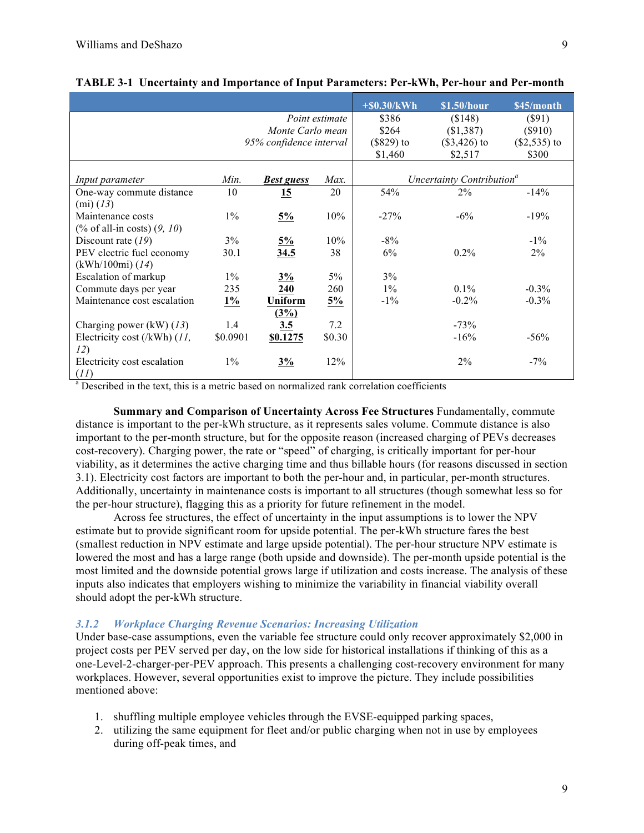|                               |          |                         |                | $+$ \$0.30/kWh | \$1.50/hour                           | \$45/month     |
|-------------------------------|----------|-------------------------|----------------|----------------|---------------------------------------|----------------|
|                               |          |                         | Point estimate | \$386          | (\$148)                               | $(\$91)$       |
|                               |          | Monte Carlo mean        |                | \$264          | (\$1,387)                             | $(\$910)$      |
|                               |          | 95% confidence interval |                | $($829)$ to    | $($3,426)$ to                         | $(\$2,535)$ to |
|                               |          |                         |                | \$1,460        | \$2,517                               | \$300          |
|                               |          |                         |                |                |                                       |                |
| Input parameter               | Min.     | <b>Best guess</b>       | Max.           |                | Uncertainty Contribution <sup>a</sup> |                |
| One-way commute distance      | 10       | 15                      | 20             | 54%            | 2%                                    | $-14%$         |
| $(i)$ $(l3)$                  |          |                         |                |                |                                       |                |
| Maintenance costs             | $1\%$    | 5%                      | 10%            | $-27%$         | $-6\%$                                | $-19%$         |
| (% of all-in costs) $(9, 10)$ |          |                         |                |                |                                       |                |
| Discount rate $(19)$          | 3%       | $\frac{5\%}{2}$         | 10%            | $-8\%$         |                                       | $-1\%$         |
| PEV electric fuel economy     | 30.1     | 34.5                    | 38             | 6%             | $0.2\%$                               | $2\%$          |
| (kWh/100mi) (14)              |          |                         |                |                |                                       |                |
| Escalation of markup          | $1\%$    | 3%                      | 5%             | 3%             |                                       |                |
| Commute days per year         | 235      | 240                     | 260            | $1\%$          | $0.1\%$                               | $-0.3\%$       |
| Maintenance cost escalation   | $1\%$    | Uniform                 | 5%             | $-1\%$         | $-0.2\%$                              | $-0.3\%$       |
|                               |          | (3%)                    |                |                |                                       |                |
| Charging power (kW) $(13)$    | 1.4      | 3.5                     | 7.2            |                | $-73%$                                |                |
| Electricity cost (/kWh) (11,  | \$0.0901 | \$0.1275                | \$0.30         |                | $-16%$                                | $-56%$         |
| 12)                           |          |                         |                |                |                                       |                |
| Electricity cost escalation   | $1\%$    | 3%                      | 12%            |                | $2\%$                                 | $-7\%$         |
| (II)                          |          |                         |                |                |                                       |                |

#### **TABLE 3-1 Uncertainty and Importance of Input Parameters: Per-kWh, Per-hour and Per-month**

<sup>a</sup> Described in the text, this is a metric based on normalized rank correlation coefficients

**Summary and Comparison of Uncertainty Across Fee Structures** Fundamentally, commute distance is important to the per-kWh structure, as it represents sales volume. Commute distance is also important to the per-month structure, but for the opposite reason (increased charging of PEVs decreases cost-recovery). Charging power, the rate or "speed" of charging, is critically important for per-hour viability, as it determines the active charging time and thus billable hours (for reasons discussed in section 3.1). Electricity cost factors are important to both the per-hour and, in particular, per-month structures. Additionally, uncertainty in maintenance costs is important to all structures (though somewhat less so for the per-hour structure), flagging this as a priority for future refinement in the model.

Across fee structures, the effect of uncertainty in the input assumptions is to lower the NPV estimate but to provide significant room for upside potential. The per-kWh structure fares the best (smallest reduction in NPV estimate and large upside potential). The per-hour structure NPV estimate is lowered the most and has a large range (both upside and downside). The per-month upside potential is the most limited and the downside potential grows large if utilization and costs increase. The analysis of these inputs also indicates that employers wishing to minimize the variability in financial viability overall should adopt the per-kWh structure.

#### *3.1.2 Workplace Charging Revenue Scenarios: Increasing Utilization*

Under base-case assumptions, even the variable fee structure could only recover approximately \$2,000 in project costs per PEV served per day, on the low side for historical installations if thinking of this as a one-Level-2-charger-per-PEV approach. This presents a challenging cost-recovery environment for many workplaces. However, several opportunities exist to improve the picture. They include possibilities mentioned above:

- 1. shuffling multiple employee vehicles through the EVSE-equipped parking spaces,
- 2. utilizing the same equipment for fleet and/or public charging when not in use by employees during off-peak times, and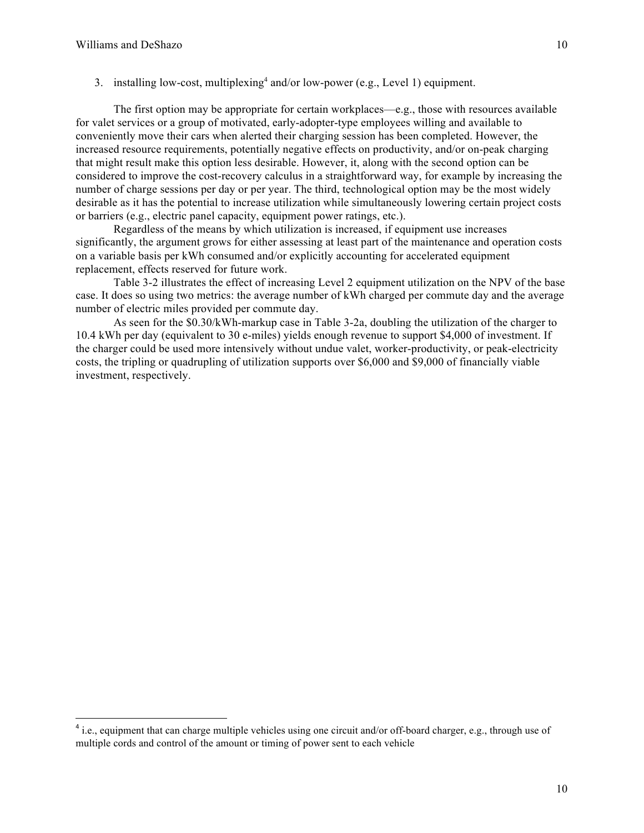3. installing low-cost, multiplexing<sup>4</sup> and/or low-power (e.g., Level 1) equipment.

The first option may be appropriate for certain workplaces—e.g., those with resources available for valet services or a group of motivated, early-adopter-type employees willing and available to conveniently move their cars when alerted their charging session has been completed. However, the increased resource requirements, potentially negative effects on productivity, and/or on-peak charging that might result make this option less desirable. However, it, along with the second option can be considered to improve the cost-recovery calculus in a straightforward way, for example by increasing the number of charge sessions per day or per year. The third, technological option may be the most widely desirable as it has the potential to increase utilization while simultaneously lowering certain project costs or barriers (e.g., electric panel capacity, equipment power ratings, etc.).

Regardless of the means by which utilization is increased, if equipment use increases significantly, the argument grows for either assessing at least part of the maintenance and operation costs on a variable basis per kWh consumed and/or explicitly accounting for accelerated equipment replacement, effects reserved for future work.

Table 3-2 illustrates the effect of increasing Level 2 equipment utilization on the NPV of the base case. It does so using two metrics: the average number of kWh charged per commute day and the average number of electric miles provided per commute day.

As seen for the \$0.30/kWh-markup case in Table 3-2a, doubling the utilization of the charger to 10.4 kWh per day (equivalent to 30 e-miles) yields enough revenue to support \$4,000 of investment. If the charger could be used more intensively without undue valet, worker-productivity, or peak-electricity costs, the tripling or quadrupling of utilization supports over \$6,000 and \$9,000 of financially viable investment, respectively.

<sup>&</sup>lt;sup>4</sup> i.e., equipment that can charge multiple vehicles using one circuit and/or off-board charger, e.g., through use of multiple cords and control of the amount or timing of power sent to each vehicle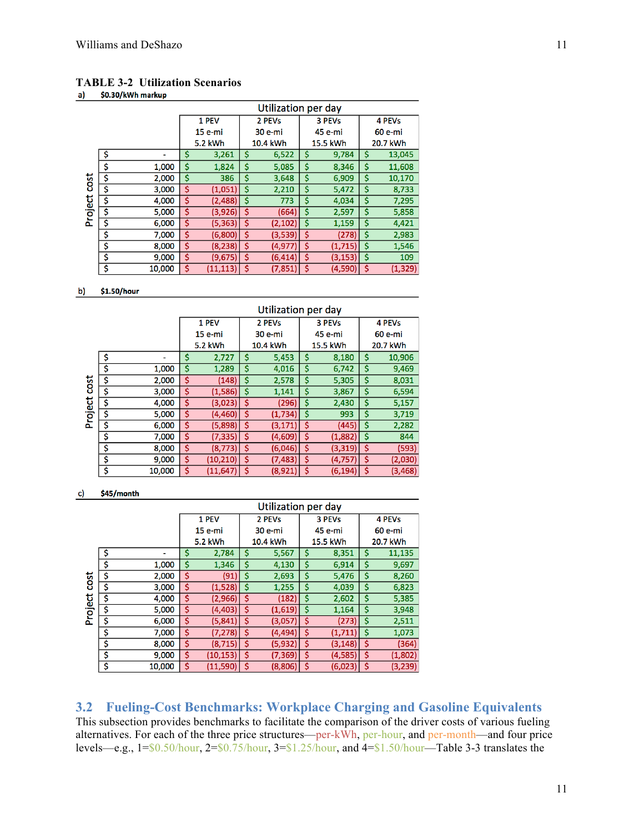# **TABLE 3-2 Utilization Scenarios**

 $a)$ 

|         |    |        | Utilization per day |           |          |          |          |          |          |          |
|---------|----|--------|---------------------|-----------|----------|----------|----------|----------|----------|----------|
|         |    | 1 PEV  |                     | 2 PEVs    |          | 3 PEVs   |          | 4 PEVs   |          |          |
|         |    |        | $15 e$ -mi          |           | 30 e-mi  |          | 45 e-mi  |          | 60 e-mi  |          |
|         |    |        | 5.2 kWh             |           | 10.4 kWh |          | 15.5 kWh |          | 20.7 kWh |          |
|         | \$ |        | \$                  | 3,261     | \$       | 6,522    | Ş        | 9,784    |          | 13,045   |
|         | \$ | 1,000  | \$                  | 1,824     | \$       | 5,085    | \$       | 8,346    | \$       | 11,608   |
| cost    | \$ | 2,000  | \$                  | 386       | \$       | 3,648    | \$       | 6,909    | \$       | 10,170   |
|         | \$ | 3,000  | \$                  | (1,051)   | \$       | 2,210    | \$       | 5,472    | \$       | 8,733    |
| Project | \$ | 4,000  | \$                  | (2,488)   | \$       | 773      | \$       | 4,034    | \$       | 7,295    |
|         | \$ | 5,000  | \$                  | (3,926)   | \$       | (664)    | \$       | 2,597    | \$       | 5,858    |
|         | \$ | 6,000  | \$                  | (5, 363)  | \$       | (2, 102) | \$       | 1,159    | \$       | 4,421    |
|         | \$ | 7,000  | \$                  | (6,800)   | \$       | (3,539)  | \$       | (278)    | \$       | 2,983    |
|         | \$ | 8,000  | \$                  | (8, 238)  | \$       | (4, 977) | \$       | (1,715)  | \$       | 1,546    |
|         | \$ | 9,000  | \$                  | (9, 675)  | \$       | (6, 414) | \$       | (3, 153) | \$       | 109      |
|         | \$ | 10,000 | \$                  | (11, 113) | \$       | (7, 851) | \$       | (4,590)  | \$       | (1, 329) |

#### \$1.50/hour b)

|         |    |        | Utilization per day |           |         |          |         |          |          |          |
|---------|----|--------|---------------------|-----------|---------|----------|---------|----------|----------|----------|
|         |    | 1 PEV  |                     | 2 PEVs    |         | 3 PEVs   |         | 4 PEVs   |          |          |
|         |    |        | 15 e-mi             |           | 30 e-mi |          | 45 e-mi |          | 60 e-mi  |          |
|         |    |        | 5.2 kWh             |           |         | 10.4 kWh |         | 15.5 kWh |          | 20.7 kWh |
|         | \$ |        | \$                  | 2,727     | \$      | 5,453    | \$      | 8,180    | \$       | 10,906   |
|         | \$ | 1,000  | \$                  | 1,289     | \$      | 4,016    | \$      | 6,742    | \$       | 9,469    |
| cost    | \$ | 2,000  | \$                  | (148)     | \$      | 2,578    | \$      | 5,305    | \$       | 8,031    |
|         | \$ | 3,000  | \$                  | (1,586)   | \$      | 1,141    | \$      | 3,867    | \$       | 6,594    |
| Project | \$ | 4,000  | \$                  | (3,023)   | \$      | (296)    | \$      | 2,430    | \$       | 5,157    |
|         | \$ | 5,000  | \$                  | (4, 460)  | \$      | (1,734)  | \$      | 993      | \$       | 3,719    |
|         | \$ | 6,000  | \$                  | (5,898)   | \$      | (3, 171) | \$      | (445)    | \$       | 2,282    |
|         | \$ | 7,000  | \$                  | (7, 335)  | \$      | (4,609)  | \$      | (1,882)  | \$       | 844      |
|         | \$ | 8,000  | \$                  | (8, 773)  | \$      | (6,046)  | \$      | (3, 319) | \$       | (593)    |
|         | \$ | 9,000  | \$                  | (10, 210) | \$      | (7, 483) | \$      | (4, 757) | \$       | (2,030)  |
|         | \$ | 10,000 | \$                  | (11, 647) | \$      | (8,921)  | \$      | (6, 194) | <b>S</b> | (3, 468) |

#### \$45/month c)

|         |    |        | Utilization per day |           |          |          |          |          |          |          |
|---------|----|--------|---------------------|-----------|----------|----------|----------|----------|----------|----------|
|         |    |        | 1 PEV               |           | 2 PEVs   |          | 3 PEVs   |          | 4 PEVs   |          |
|         |    |        | 15 e-mi             |           | 30 e-mi  |          | 45 e-mi  |          | 60 e-mi  |          |
|         |    |        | 5.2 kWh             |           | 10.4 kWh |          | 15.5 kWh |          | 20.7 kWh |          |
|         | \$ |        | \$                  | 2,784     | \$       | 5,567    | \$       | 8,351    | \$       | 11,135   |
|         | \$ | 1,000  | \$                  | 1,346     | \$       | 4,130    | \$       | 6,914    | \$       | 9,697    |
| cost    | \$ | 2,000  | \$                  | (91)      | \$       | 2,693    | \$       | 5,476    | \$       | 8,260    |
|         | \$ | 3,000  | \$                  | (1, 528)  | \$       | 1,255    | \$       | 4,039    | \$       | 6,823    |
| Project | \$ | 4,000  | \$                  | (2,966)   | \$       | (182)    | \$       | 2,602    | \$       | 5,385    |
|         | \$ | 5,000  | \$                  | (4, 403)  | \$       | (1,619)  | \$       | 1,164    | \$       | 3,948    |
|         | \$ | 6,000  | \$                  | (5, 841)  | \$       | (3,057)  | \$       | (273)    | \$       | 2,511    |
|         | \$ | 7,000  | \$                  | (7, 278)  | \$       | (4, 494) | \$       | (1,711)  | \$       | 1,073    |
|         | \$ | 8,000  | \$                  | (8, 715)  | \$       | (5,932)  | \$       | (3, 148) | \$       | (364)    |
|         | \$ | 9,000  | \$                  | (10, 153) | Ś        | (7, 369) | \$       | (4,585)  | \$       | (1,802)  |
|         | \$ | 10,000 | \$                  | (11, 590) | \$       | (8,806)  | \$       | (6,023)  | \$       | (3, 239) |

## **3.2 Fueling-Cost Benchmarks: Workplace Charging and Gasoline Equivalents**

This subsection provides benchmarks to facilitate the comparison of the driver costs of various fueling alternatives. For each of the three price structures—per-kWh, per-hour, and per-month—and four price levels—e.g., 1=\$0.50/hour, 2=\$0.75/hour, 3=\$1.25/hour, and 4=\$1.50/hour—Table 3-3 translates the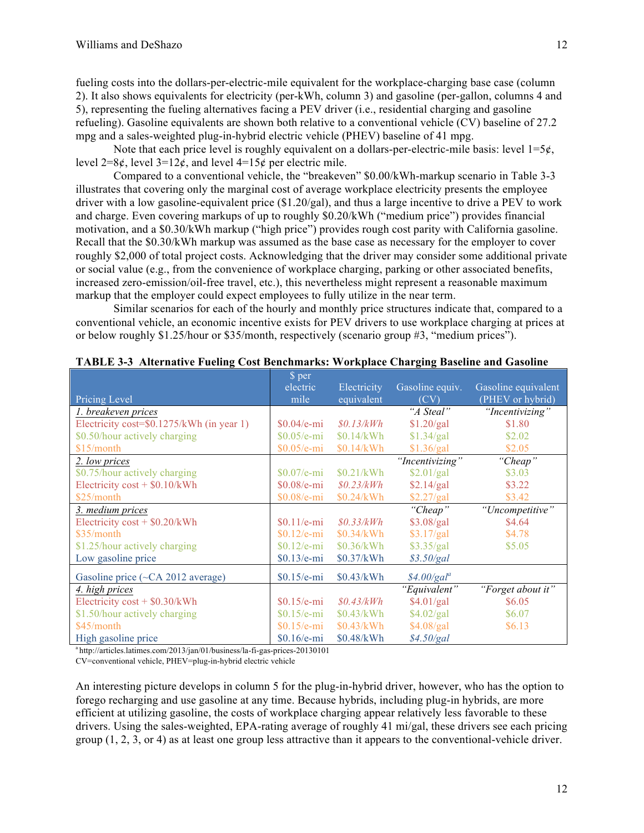fueling costs into the dollars-per-electric-mile equivalent for the workplace-charging base case (column 2). It also shows equivalents for electricity (per-kWh, column 3) and gasoline (per-gallon, columns 4 and 5), representing the fueling alternatives facing a PEV driver (i.e., residential charging and gasoline refueling). Gasoline equivalents are shown both relative to a conventional vehicle (CV) baseline of 27.2 mpg and a sales-weighted plug-in-hybrid electric vehicle (PHEV) baseline of 41 mpg.

Note that each price level is roughly equivalent on a dollars-per-electric-mile basis: level  $1=5¢$ , level  $2=8¢$ , level  $3=12¢$ , and level  $4=15¢$  per electric mile.

Compared to a conventional vehicle, the "breakeven" \$0.00/kWh-markup scenario in Table 3-3 illustrates that covering only the marginal cost of average workplace electricity presents the employee driver with a low gasoline-equivalent price (\$1.20/gal), and thus a large incentive to drive a PEV to work and charge. Even covering markups of up to roughly \$0.20/kWh ("medium price") provides financial motivation, and a \$0.30/kWh markup ("high price") provides rough cost parity with California gasoline. Recall that the \$0.30/kWh markup was assumed as the base case as necessary for the employer to cover roughly \$2,000 of total project costs. Acknowledging that the driver may consider some additional private or social value (e.g., from the convenience of workplace charging, parking or other associated benefits, increased zero-emission/oil-free travel, etc.), this nevertheless might represent a reasonable maximum markup that the employer could expect employees to fully utilize in the near term.

Similar scenarios for each of the hourly and monthly price structures indicate that, compared to a conventional vehicle, an economic incentive exists for PEV drivers to use workplace charging at prices at or below roughly \$1.25/hour or \$35/month, respectively (scenario group #3, "medium prices").

|                                                  | \$ per        |             |                 |                     |
|--------------------------------------------------|---------------|-------------|-----------------|---------------------|
|                                                  | electric      | Electricity | Gasoline equiv. | Gasoline equivalent |
| Pricing Level                                    | mile          | equivalent  | (CV)            | (PHEV or hybrid)    |
| 1. breakeven prices                              |               |             | "A Steal"       | "Incentivizing"     |
| Electricity cost=\$0.1275/kWh (in year 1)        | $$0.04/e$ -mi | \$0.13/kWh  | \$1.20/gal      | \$1.80              |
| \$0.50/hour actively charging                    | $$0.05/e-mi$  | \$0.14/kWh  | \$1.34/gal      | \$2.02              |
| \$15/month                                       | $$0.05/e-mi$  | \$0.14/kWh  | \$1.36/gal      | \$2.05              |
| 2. low prices                                    |               |             | "Incentivizing" | "Cheap"             |
| \$0.75/hour actively charging                    | $$0.07/e-mi$  | \$0.21/kWh  | \$2.01/gal      | \$3.03              |
| Electricity $cost + $0.10/kWh$                   | $$0.08/e-mi$  | \$0.23/kWh  | \$2.14/gal      | \$3.22              |
| \$25/month                                       | $$0.08/e-mi$  | \$0.24/kWh  | \$2.27/gal      | \$3.42              |
| 3. medium prices                                 |               |             | "Cheap"         | "Uncompetitive"     |
| Electricity $cost + $0.20/kWh$                   | $$0.11/e-mi$  | \$0.33/kWh  | \$3.08/gal      | \$4.64              |
| \$35/month                                       | $$0.12/e-mi$  | \$0.34/kWh  | \$3.17/gal      | \$4.78              |
| \$1.25/hour actively charging                    | $$0.12/e-mi$  | \$0.36/kWh  | \$3.35/gal      | \$5.05              |
| Low gasoline price                               | $$0.13/e-mi$  | \$0.37/kWh  | \$3.50/gal      |                     |
| Gasoline price $(\sim CA\ 2012 \text{ average})$ | $$0.15/e-mi$  | \$0.43/kWh  | $$4.00/gal^a$   |                     |
| 4. high prices                                   |               |             | "Equivalent"    | "Forget about it"   |
| Electricity $cost + $0.30/kWh$                   | $$0.15/e-mi$  | \$0.43/kWh  | \$4.01/gal      | \$6.05              |
| \$1.50/hour actively charging                    | $$0.15/e-mi$  | \$0.43/kWh  | \$4.02/gal      | \$6.07              |
| \$45/month                                       | $$0.15/e-mi$  | \$0.43/kWh  | \$4.08/gal      | \$6.13              |
| High gasoline price                              | $$0.16/e-mi$  | \$0.48/kWh  | \$4.50/gal      |                     |

**TABLE 3-3 Alternative Fueling Cost Benchmarks: Workplace Charging Baseline and Gasoline**

<sup>a</sup> http://articles.latimes.com/2013/jan/01/business/la-fi-gas-prices-20130101

CV=conventional vehicle, PHEV=plug-in-hybrid electric vehicle

An interesting picture develops in column 5 for the plug-in-hybrid driver, however, who has the option to forego recharging and use gasoline at any time. Because hybrids, including plug-in hybrids, are more efficient at utilizing gasoline, the costs of workplace charging appear relatively less favorable to these drivers. Using the sales-weighted, EPA-rating average of roughly 41 mi/gal, these drivers see each pricing group  $(1, 2, 3, \text{ or } 4)$  as at least one group less attractive than it appears to the conventional-vehicle driver.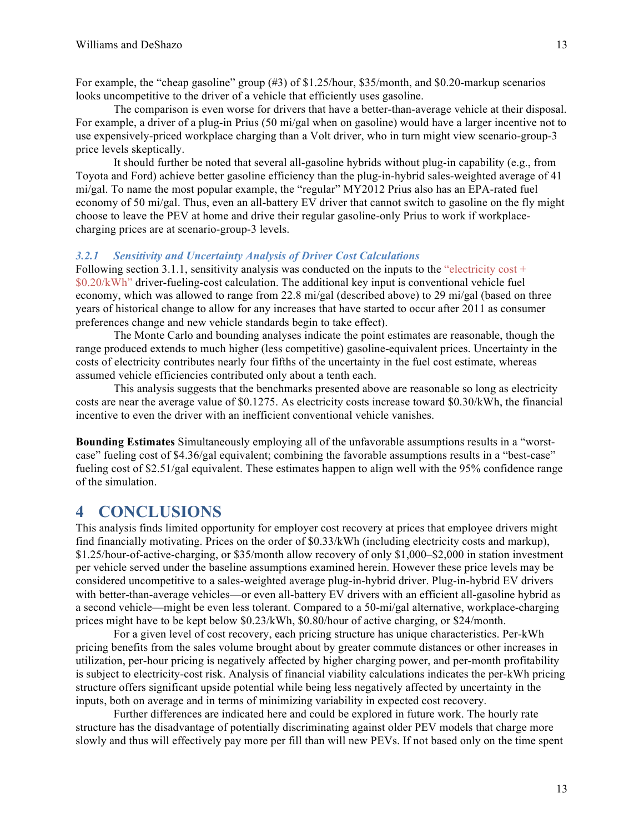For example, the "cheap gasoline" group (#3) of \$1.25/hour, \$35/month, and \$0.20-markup scenarios looks uncompetitive to the driver of a vehicle that efficiently uses gasoline.

The comparison is even worse for drivers that have a better-than-average vehicle at their disposal. For example, a driver of a plug-in Prius (50 mi/gal when on gasoline) would have a larger incentive not to use expensively-priced workplace charging than a Volt driver, who in turn might view scenario-group-3 price levels skeptically.

It should further be noted that several all-gasoline hybrids without plug-in capability (e.g., from Toyota and Ford) achieve better gasoline efficiency than the plug-in-hybrid sales-weighted average of 41 mi/gal. To name the most popular example, the "regular" MY2012 Prius also has an EPA-rated fuel economy of 50 mi/gal. Thus, even an all-battery EV driver that cannot switch to gasoline on the fly might choose to leave the PEV at home and drive their regular gasoline-only Prius to work if workplacecharging prices are at scenario-group-3 levels.

#### *3.2.1 Sensitivity and Uncertainty Analysis of Driver Cost Calculations*

Following section 3.1.1, sensitivity analysis was conducted on the inputs to the "electricity cost + \$0.20/kWh" driver-fueling-cost calculation. The additional key input is conventional vehicle fuel economy, which was allowed to range from 22.8 mi/gal (described above) to 29 mi/gal (based on three years of historical change to allow for any increases that have started to occur after 2011 as consumer preferences change and new vehicle standards begin to take effect).

The Monte Carlo and bounding analyses indicate the point estimates are reasonable, though the range produced extends to much higher (less competitive) gasoline-equivalent prices. Uncertainty in the costs of electricity contributes nearly four fifths of the uncertainty in the fuel cost estimate, whereas assumed vehicle efficiencies contributed only about a tenth each.

This analysis suggests that the benchmarks presented above are reasonable so long as electricity costs are near the average value of \$0.1275. As electricity costs increase toward \$0.30/kWh, the financial incentive to even the driver with an inefficient conventional vehicle vanishes.

**Bounding Estimates** Simultaneously employing all of the unfavorable assumptions results in a "worstcase" fueling cost of \$4.36/gal equivalent; combining the favorable assumptions results in a "best-case" fueling cost of \$2.51/gal equivalent. These estimates happen to align well with the 95% confidence range of the simulation.

# **4 CONCLUSIONS**

This analysis finds limited opportunity for employer cost recovery at prices that employee drivers might find financially motivating. Prices on the order of \$0.33/kWh (including electricity costs and markup), \$1.25/hour-of-active-charging, or \$35/month allow recovery of only \$1,000–\$2,000 in station investment per vehicle served under the baseline assumptions examined herein. However these price levels may be considered uncompetitive to a sales-weighted average plug-in-hybrid driver. Plug-in-hybrid EV drivers with better-than-average vehicles—or even all-battery EV drivers with an efficient all-gasoline hybrid as a second vehicle—might be even less tolerant. Compared to a 50-mi/gal alternative, workplace-charging prices might have to be kept below \$0.23/kWh, \$0.80/hour of active charging, or \$24/month.

For a given level of cost recovery, each pricing structure has unique characteristics. Per-kWh pricing benefits from the sales volume brought about by greater commute distances or other increases in utilization, per-hour pricing is negatively affected by higher charging power, and per-month profitability is subject to electricity-cost risk. Analysis of financial viability calculations indicates the per-kWh pricing structure offers significant upside potential while being less negatively affected by uncertainty in the inputs, both on average and in terms of minimizing variability in expected cost recovery.

Further differences are indicated here and could be explored in future work. The hourly rate structure has the disadvantage of potentially discriminating against older PEV models that charge more slowly and thus will effectively pay more per fill than will new PEVs. If not based only on the time spent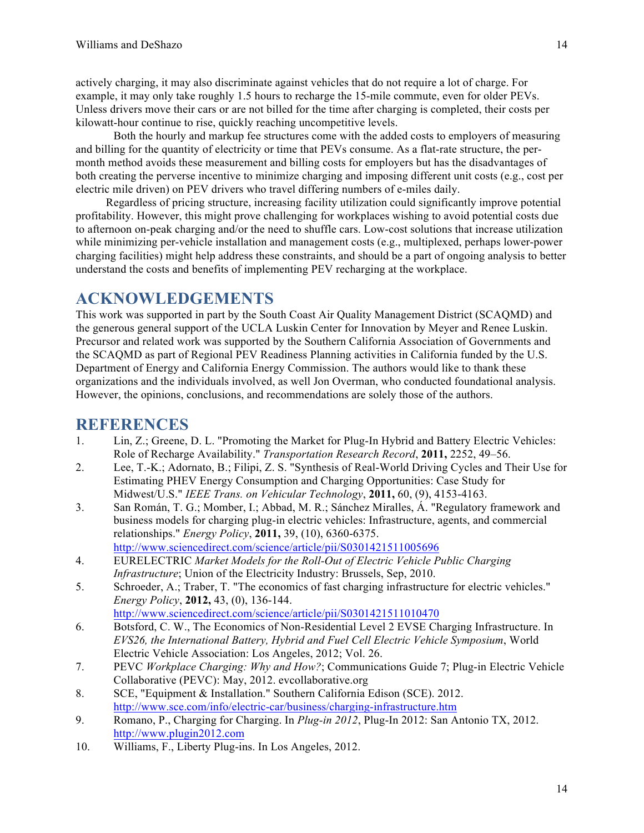actively charging, it may also discriminate against vehicles that do not require a lot of charge. For example, it may only take roughly 1.5 hours to recharge the 15-mile commute, even for older PEVs. Unless drivers move their cars or are not billed for the time after charging is completed, their costs per kilowatt-hour continue to rise, quickly reaching uncompetitive levels.

Both the hourly and markup fee structures come with the added costs to employers of measuring and billing for the quantity of electricity or time that PEVs consume. As a flat-rate structure, the permonth method avoids these measurement and billing costs for employers but has the disadvantages of both creating the perverse incentive to minimize charging and imposing different unit costs (e.g., cost per electric mile driven) on PEV drivers who travel differing numbers of e-miles daily.

Regardless of pricing structure, increasing facility utilization could significantly improve potential profitability. However, this might prove challenging for workplaces wishing to avoid potential costs due to afternoon on-peak charging and/or the need to shuffle cars. Low-cost solutions that increase utilization while minimizing per-vehicle installation and management costs (e.g., multiplexed, perhaps lower-power charging facilities) might help address these constraints, and should be a part of ongoing analysis to better understand the costs and benefits of implementing PEV recharging at the workplace.

# **ACKNOWLEDGEMENTS**

This work was supported in part by the South Coast Air Quality Management District (SCAQMD) and the generous general support of the UCLA Luskin Center for Innovation by Meyer and Renee Luskin. Precursor and related work was supported by the Southern California Association of Governments and the SCAQMD as part of Regional PEV Readiness Planning activities in California funded by the U.S. Department of Energy and California Energy Commission. The authors would like to thank these organizations and the individuals involved, as well Jon Overman, who conducted foundational analysis. However, the opinions, conclusions, and recommendations are solely those of the authors.

# **REFERENCES**

- 1. Lin, Z.; Greene, D. L. "Promoting the Market for Plug-In Hybrid and Battery Electric Vehicles: Role of Recharge Availability." *Transportation Research Record*, **2011,** 2252, 49–56.
- 2. Lee, T.-K.; Adornato, B.; Filipi, Z. S. "Synthesis of Real-World Driving Cycles and Their Use for Estimating PHEV Energy Consumption and Charging Opportunities: Case Study for Midwest/U.S." *IEEE Trans. on Vehicular Technology*, **2011,** 60, (9), 4153-4163.
- 3. San Román, T. G.; Momber, I.; Abbad, M. R.; Sánchez Miralles, Á. "Regulatory framework and business models for charging plug-in electric vehicles: Infrastructure, agents, and commercial relationships." *Energy Policy*, **2011,** 39, (10), 6360-6375. http://www.sciencedirect.com/science/article/pii/S0301421511005696
- 4. EURELECTRIC *Market Models for the Roll-Out of Electric Vehicle Public Charging Infrastructure*; Union of the Electricity Industry: Brussels, Sep, 2010.
- 5. Schroeder, A.; Traber, T. "The economics of fast charging infrastructure for electric vehicles." *Energy Policy*, **2012,** 43, (0), 136-144. http://www.sciencedirect.com/science/article/pii/S0301421511010470
- 6. Botsford, C. W., The Economics of Non-Residential Level 2 EVSE Charging Infrastructure. In *EVS26, the International Battery, Hybrid and Fuel Cell Electric Vehicle Symposium*, World Electric Vehicle Association: Los Angeles, 2012; Vol. 26.
- 7. PEVC *Workplace Charging: Why and How?*; Communications Guide 7; Plug-in Electric Vehicle Collaborative (PEVC): May, 2012. evcollaborative.org
- 8. SCE, "Equipment & Installation." Southern California Edison (SCE). 2012. http://www.sce.com/info/electric-car/business/charging-infrastructure.htm
- 9. Romano, P., Charging for Charging. In *Plug-in 2012*, Plug-In 2012: San Antonio TX, 2012. http://www.plugin2012.com
- 10. Williams, F., Liberty Plug-ins. In Los Angeles, 2012.